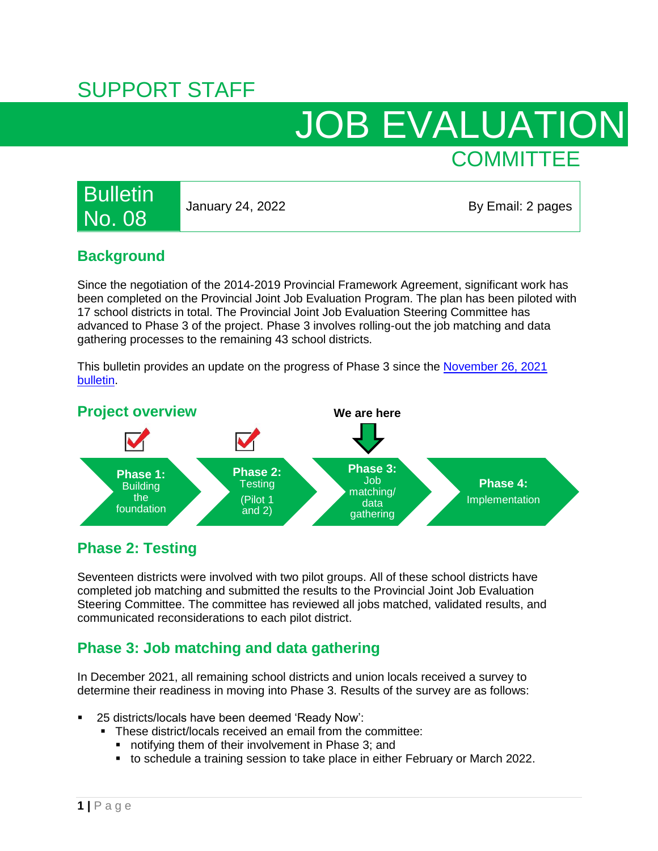# SUPPORT STAFF

# JOB EVALUATION **COMMITTEE**

# **Bulletin** No. 08

January 24, 2022 **By Email: 2 pages** 

### **Background**

Since the negotiation of the 2014-2019 Provincial Framework Agreement, significant work has been completed on the Provincial Joint Job Evaluation Program. The plan has been piloted with 17 school districts in total. The Provincial Joint Job Evaluation Steering Committee has advanced to Phase 3 of the project. Phase 3 involves rolling-out the job matching and data gathering processes to the remaining 43 school districts.

This bulletin provides an update on the progress of Phase 3 since the November 26, 2021 [bulletin.](https://bcpsea.bc.ca/wp-content/uploads/2021/11/Bulletin-7-Job-Evaluation-November-26-2021.pdf)



## **Phase 2: Testing**

Seventeen districts were involved with two pilot groups. All of these school districts have completed job matching and submitted the results to the Provincial Joint Job Evaluation Steering Committee. The committee has reviewed all jobs matched, validated results, and communicated reconsiderations to each pilot district.

## **Phase 3: Job matching and data gathering**

In December 2021, all remaining school districts and union locals received a survey to determine their readiness in moving into Phase 3. Results of the survey are as follows:

- 25 districts/locals have been deemed 'Ready Now':
	- **These district/locals received an email from the committee:** 
		- **notifying them of their involvement in Phase 3; and**
		- to schedule a training session to take place in either February or March 2022.